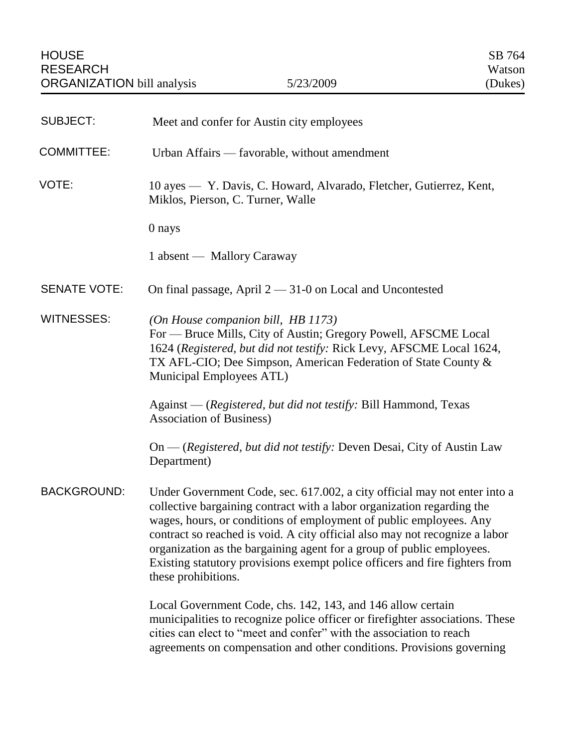| <b>SUBJECT:</b>     | Meet and confer for Austin city employees                                                                                                                                                                                                                                                                                                                                                                                                                                               |
|---------------------|-----------------------------------------------------------------------------------------------------------------------------------------------------------------------------------------------------------------------------------------------------------------------------------------------------------------------------------------------------------------------------------------------------------------------------------------------------------------------------------------|
| <b>COMMITTEE:</b>   | Urban Affairs — favorable, without amendment                                                                                                                                                                                                                                                                                                                                                                                                                                            |
| VOTE:               | 10 ayes — Y. Davis, C. Howard, Alvarado, Fletcher, Gutierrez, Kent,<br>Miklos, Pierson, C. Turner, Walle                                                                                                                                                                                                                                                                                                                                                                                |
|                     | 0 nays                                                                                                                                                                                                                                                                                                                                                                                                                                                                                  |
|                     | 1 absent — Mallory Caraway                                                                                                                                                                                                                                                                                                                                                                                                                                                              |
| <b>SENATE VOTE:</b> | On final passage, April $2 - 31$ -0 on Local and Uncontested                                                                                                                                                                                                                                                                                                                                                                                                                            |
| <b>WITNESSES:</b>   | (On House companion bill, HB 1173)<br>For — Bruce Mills, City of Austin; Gregory Powell, AFSCME Local<br>1624 (Registered, but did not testify: Rick Levy, AFSCME Local 1624,<br>TX AFL-CIO; Dee Simpson, American Federation of State County &<br>Municipal Employees ATL)                                                                                                                                                                                                             |
|                     | Against — (Registered, but did not testify: Bill Hammond, Texas<br><b>Association of Business)</b>                                                                                                                                                                                                                                                                                                                                                                                      |
|                     | On — (Registered, but did not testify: Deven Desai, City of Austin Law<br>Department)                                                                                                                                                                                                                                                                                                                                                                                                   |
| <b>BACKGROUND:</b>  | Under Government Code, sec. 617.002, a city official may not enter into a<br>collective bargaining contract with a labor organization regarding the<br>wages, hours, or conditions of employment of public employees. Any<br>contract so reached is void. A city official also may not recognize a labor<br>organization as the bargaining agent for a group of public employees.<br>Existing statutory provisions exempt police officers and fire fighters from<br>these prohibitions. |
|                     | Local Government Code, chs. 142, 143, and 146 allow certain<br>municipalities to recognize police officer or firefighter associations. These<br>cities can elect to "meet and confer" with the association to reach<br>agreements on compensation and other conditions. Provisions governing                                                                                                                                                                                            |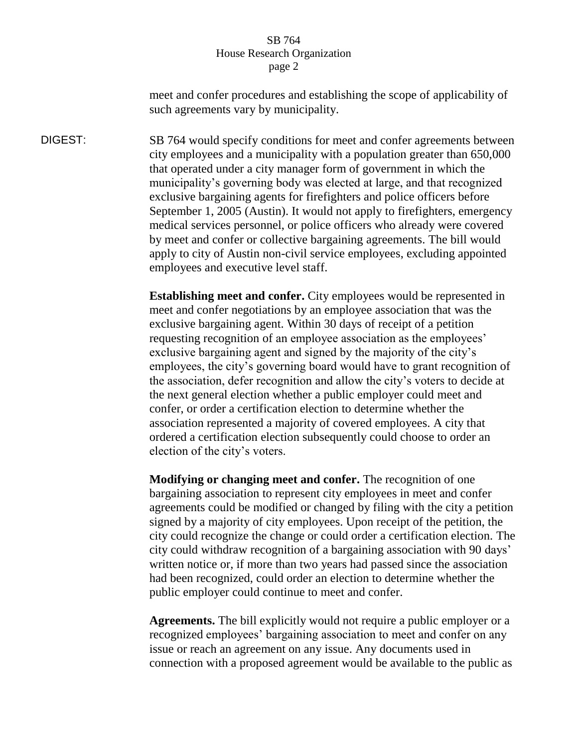meet and confer procedures and establishing the scope of applicability of such agreements vary by municipality.

DIGEST: SB 764 would specify conditions for meet and confer agreements between city employees and a municipality with a population greater than 650,000 that operated under a city manager form of government in which the municipality's governing body was elected at large, and that recognized exclusive bargaining agents for firefighters and police officers before September 1, 2005 (Austin). It would not apply to firefighters, emergency medical services personnel, or police officers who already were covered by meet and confer or collective bargaining agreements. The bill would apply to city of Austin non-civil service employees, excluding appointed employees and executive level staff.

> **Establishing meet and confer.** City employees would be represented in meet and confer negotiations by an employee association that was the exclusive bargaining agent. Within 30 days of receipt of a petition requesting recognition of an employee association as the employees' exclusive bargaining agent and signed by the majority of the city's employees, the city's governing board would have to grant recognition of the association, defer recognition and allow the city's voters to decide at the next general election whether a public employer could meet and confer, or order a certification election to determine whether the association represented a majority of covered employees. A city that ordered a certification election subsequently could choose to order an election of the city's voters.

**Modifying or changing meet and confer.** The recognition of one bargaining association to represent city employees in meet and confer agreements could be modified or changed by filing with the city a petition signed by a majority of city employees. Upon receipt of the petition, the city could recognize the change or could order a certification election. The city could withdraw recognition of a bargaining association with 90 days' written notice or, if more than two years had passed since the association had been recognized, could order an election to determine whether the public employer could continue to meet and confer.

**Agreements.** The bill explicitly would not require a public employer or a recognized employees' bargaining association to meet and confer on any issue or reach an agreement on any issue. Any documents used in connection with a proposed agreement would be available to the public as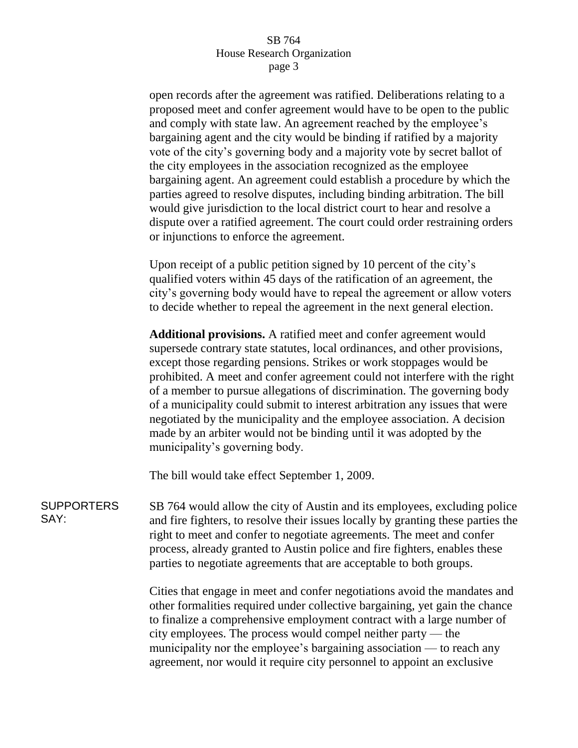open records after the agreement was ratified. Deliberations relating to a proposed meet and confer agreement would have to be open to the public and comply with state law. An agreement reached by the employee's bargaining agent and the city would be binding if ratified by a majority vote of the city's governing body and a majority vote by secret ballot of the city employees in the association recognized as the employee bargaining agent. An agreement could establish a procedure by which the parties agreed to resolve disputes, including binding arbitration. The bill would give jurisdiction to the local district court to hear and resolve a dispute over a ratified agreement. The court could order restraining orders or injunctions to enforce the agreement.

Upon receipt of a public petition signed by 10 percent of the city's qualified voters within 45 days of the ratification of an agreement, the city's governing body would have to repeal the agreement or allow voters to decide whether to repeal the agreement in the next general election.

**Additional provisions.** A ratified meet and confer agreement would supersede contrary state statutes, local ordinances, and other provisions, except those regarding pensions. Strikes or work stoppages would be prohibited. A meet and confer agreement could not interfere with the right of a member to pursue allegations of discrimination. The governing body of a municipality could submit to interest arbitration any issues that were negotiated by the municipality and the employee association. A decision made by an arbiter would not be binding until it was adopted by the municipality's governing body.

The bill would take effect September 1, 2009.

SUPPORTERS SAY: SB 764 would allow the city of Austin and its employees, excluding police and fire fighters, to resolve their issues locally by granting these parties the right to meet and confer to negotiate agreements. The meet and confer process, already granted to Austin police and fire fighters, enables these parties to negotiate agreements that are acceptable to both groups.

> Cities that engage in meet and confer negotiations avoid the mandates and other formalities required under collective bargaining, yet gain the chance to finalize a comprehensive employment contract with a large number of city employees. The process would compel neither party — the municipality nor the employee's bargaining association — to reach any agreement, nor would it require city personnel to appoint an exclusive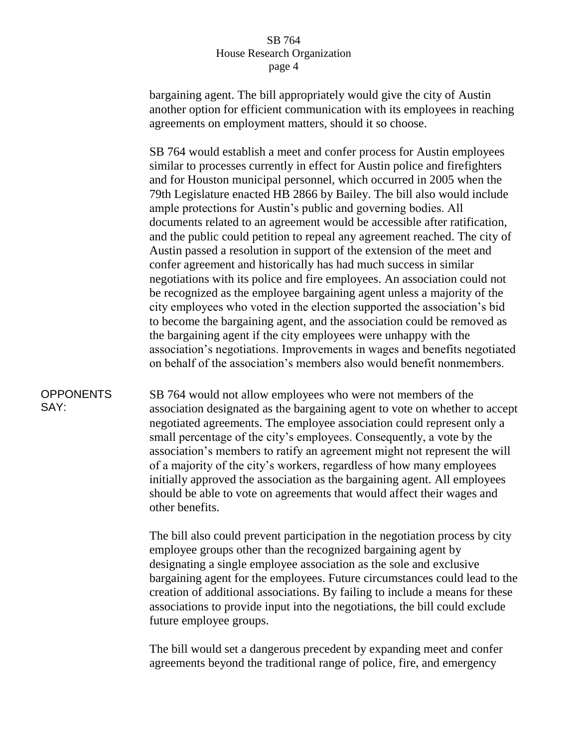bargaining agent. The bill appropriately would give the city of Austin another option for efficient communication with its employees in reaching agreements on employment matters, should it so choose.

SB 764 would establish a meet and confer process for Austin employees similar to processes currently in effect for Austin police and firefighters and for Houston municipal personnel, which occurred in 2005 when the 79th Legislature enacted HB 2866 by Bailey. The bill also would include ample protections for Austin's public and governing bodies. All documents related to an agreement would be accessible after ratification, and the public could petition to repeal any agreement reached. The city of Austin passed a resolution in support of the extension of the meet and confer agreement and historically has had much success in similar negotiations with its police and fire employees. An association could not be recognized as the employee bargaining agent unless a majority of the city employees who voted in the election supported the association's bid to become the bargaining agent, and the association could be removed as the bargaining agent if the city employees were unhappy with the association's negotiations. Improvements in wages and benefits negotiated on behalf of the association's members also would benefit nonmembers.

# **OPPONENTS** SAY:

SB 764 would not allow employees who were not members of the association designated as the bargaining agent to vote on whether to accept negotiated agreements. The employee association could represent only a small percentage of the city's employees. Consequently, a vote by the association's members to ratify an agreement might not represent the will of a majority of the city's workers, regardless of how many employees initially approved the association as the bargaining agent. All employees should be able to vote on agreements that would affect their wages and other benefits.

The bill also could prevent participation in the negotiation process by city employee groups other than the recognized bargaining agent by designating a single employee association as the sole and exclusive bargaining agent for the employees. Future circumstances could lead to the creation of additional associations. By failing to include a means for these associations to provide input into the negotiations, the bill could exclude future employee groups.

The bill would set a dangerous precedent by expanding meet and confer agreements beyond the traditional range of police, fire, and emergency